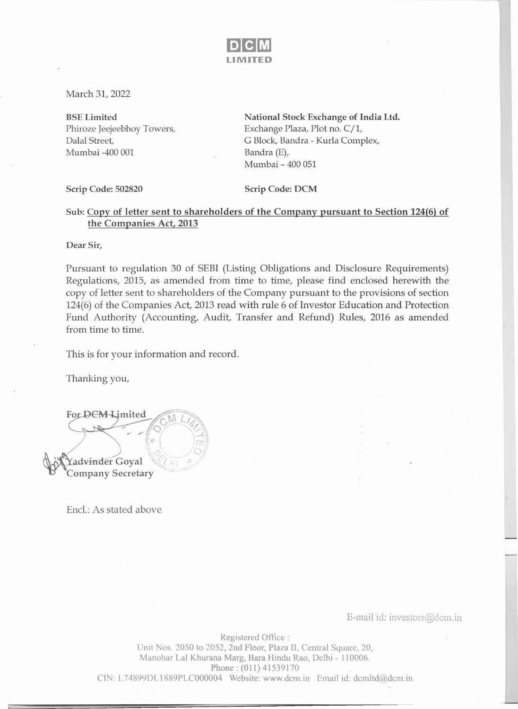

March 31, 2022

BSE Limited Phiroze Jeejeebhoy Towers, Dalal Street, Mumbai -400 001

National Stock Exchange of India Ltd. Exchange Plaza, Plot no.  $C/1$ , G Block, Bandra - Kurla Complex, Bandra (E), Mumbai - 400 051

Scrip Code: 502820 Scrip Code: DCM

## Sub: Copy of letter sent to shareholders of the Company pursuant to Section 124(6) of the Companies Act, 2013

Dear Sir,

Pursuant to regulation 30 of SEBI (Listing Obligations and Disclosure Requirements) Regulations, 2015, as amended from time to time, please find enclosed herewith the copy of letter sent to shareholders of the Company pursuant to the provisions of section 124(6) of the Companies Act, 2013 read with rule 6 of Investor Education and Protection Fund Authority (Accounting, Audit, Transfer and Refund) Rules, 2016 as amended from time to time.

This is for your information and record.

Thanking you,

For DEM Limited advinder Goyal **Company Secretary** 

Encl.: As stated above

E-mail id: investors@dcm.in

Registered Office: Unit Nos. 2050 to 2052, 2nd Floor, Plaza II, Central Square, 20, Manohar Lal Khurana Marg, Bara Hindu Rao, Delhi - 110006. Phone: (011) 41539170 CIN: L74899DLl889PLC000004 Website: www.dcm.in Email id: dcmltd@dcm.in